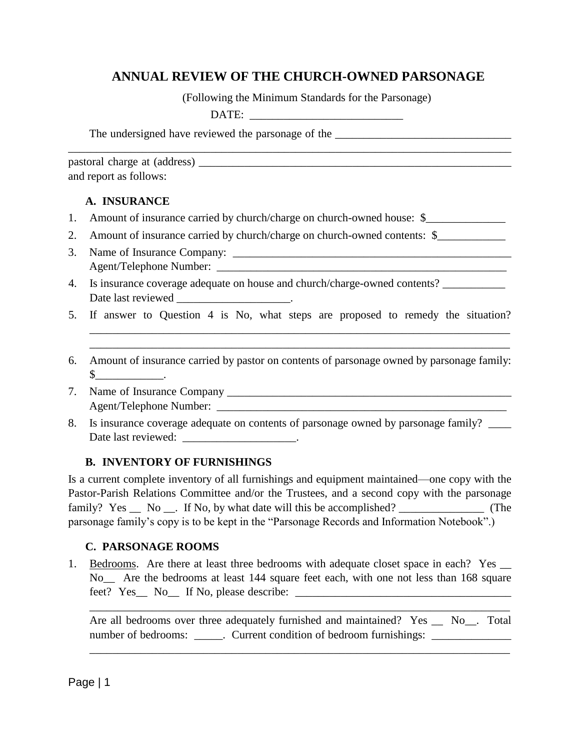# **ANNUAL REVIEW OF THE CHURCH-OWNED PARSONAGE**

(Following the Minimum Standards for the Parsonage)

| . .<br>-<br>- |
|---------------|
|---------------|

The undersigned have reviewed the parsonage of the \_\_\_\_\_\_\_\_\_\_\_\_\_\_\_\_\_\_\_\_\_\_\_\_\_\_\_\_\_\_

| pastoral charge at (address) |  |
|------------------------------|--|
| and report as follows:       |  |

## **A. INSURANCE**

- 1. Amount of insurance carried by church/charge on church-owned house: \$\_\_\_\_\_\_\_\_\_
- 2. Amount of insurance carried by church/charge on church-owned contents: \$

\_\_\_\_\_\_\_\_\_\_\_\_\_\_\_\_\_\_\_\_\_\_\_\_\_\_\_\_\_\_\_\_\_\_\_\_\_\_\_\_\_\_\_\_\_\_\_\_\_\_\_\_\_\_\_\_\_\_\_\_\_\_\_\_\_\_\_\_\_\_\_\_\_\_\_\_\_\_

- 3. Name of Insurance Company: \_\_\_\_\_\_\_\_\_\_\_\_\_\_\_\_\_\_\_\_\_\_\_\_\_\_\_\_\_\_\_\_\_\_\_\_\_\_\_\_\_\_\_\_\_\_\_\_\_ Agent/Telephone Number:
- 4. Is insurance coverage adequate on house and church/charge-owned contents? \_\_\_\_\_\_\_\_\_\_ Date last reviewed the contract of the last reviewed the contract of the contract of the contract of the contract of the contract of the contract of the contract of the contract of the contract of the contract of the contr
- 5. If answer to Question 4 is No, what steps are proposed to remedy the situation?

\_\_\_\_\_\_\_\_\_\_\_\_\_\_\_\_\_\_\_\_\_\_\_\_\_\_\_\_\_\_\_\_\_\_\_\_\_\_\_\_\_\_\_\_\_\_\_\_\_\_\_\_\_\_\_\_\_\_\_\_\_\_\_\_\_\_\_\_\_\_\_\_\_\_ \_\_\_\_\_\_\_\_\_\_\_\_\_\_\_\_\_\_\_\_\_\_\_\_\_\_\_\_\_\_\_\_\_\_\_\_\_\_\_\_\_\_\_\_\_\_\_\_\_\_\_\_\_\_\_\_\_\_\_\_\_\_\_\_\_\_\_\_\_\_\_\_\_\_

- 6. Amount of insurance carried by pastor on contents of parsonage owned by parsonage family:  $\mathbb{S}$  .
- 7. Name of Insurance Company \_\_\_\_\_\_\_\_\_\_\_\_\_\_\_\_\_\_\_\_\_\_\_\_\_\_\_\_\_\_\_\_\_\_\_\_\_\_\_\_\_\_\_\_\_\_\_\_\_\_ Agent/Telephone Number: \_\_\_\_\_\_\_\_\_\_\_\_\_\_\_\_\_\_\_\_\_\_\_\_\_\_\_\_\_\_\_\_\_\_\_\_\_\_\_\_\_\_\_\_\_\_\_\_\_\_\_
- 8. Is insurance coverage adequate on contents of parsonage owned by parsonage family? Date last reviewed:

## **B. INVENTORY OF FURNISHINGS**

Is a current complete inventory of all furnishings and equipment maintained—one copy with the Pastor-Parish Relations Committee and/or the Trustees, and a second copy with the parsonage family? Yes No . If No, by what date will this be accomplished? (The parsonage family's copy is to be kept in the "Parsonage Records and Information Notebook".)

## **C. PARSONAGE ROOMS**

1. Bedrooms. Are there at least three bedrooms with adequate closet space in each? Yes \_\_ No\_\_ Are the bedrooms at least 144 square feet each, with one not less than 168 square feet? Yes\_\_ No\_\_ If No, please describe: \_\_\_\_\_\_\_\_\_\_\_\_\_\_\_\_\_\_\_\_\_\_\_\_\_\_\_\_\_\_\_\_\_\_\_\_\_\_

Are all bedrooms over three adequately furnished and maintained? Yes \_\_ No\_\_. Total number of bedrooms: \_\_\_\_\_\_. Current condition of bedroom furnishings: \_\_\_\_\_\_\_\_\_\_\_

\_\_\_\_\_\_\_\_\_\_\_\_\_\_\_\_\_\_\_\_\_\_\_\_\_\_\_\_\_\_\_\_\_\_\_\_\_\_\_\_\_\_\_\_\_\_\_\_\_\_\_\_\_\_\_\_\_\_\_\_\_\_\_\_\_\_\_\_\_\_\_\_\_\_

\_\_\_\_\_\_\_\_\_\_\_\_\_\_\_\_\_\_\_\_\_\_\_\_\_\_\_\_\_\_\_\_\_\_\_\_\_\_\_\_\_\_\_\_\_\_\_\_\_\_\_\_\_\_\_\_\_\_\_\_\_\_\_\_\_\_\_\_\_\_\_\_\_\_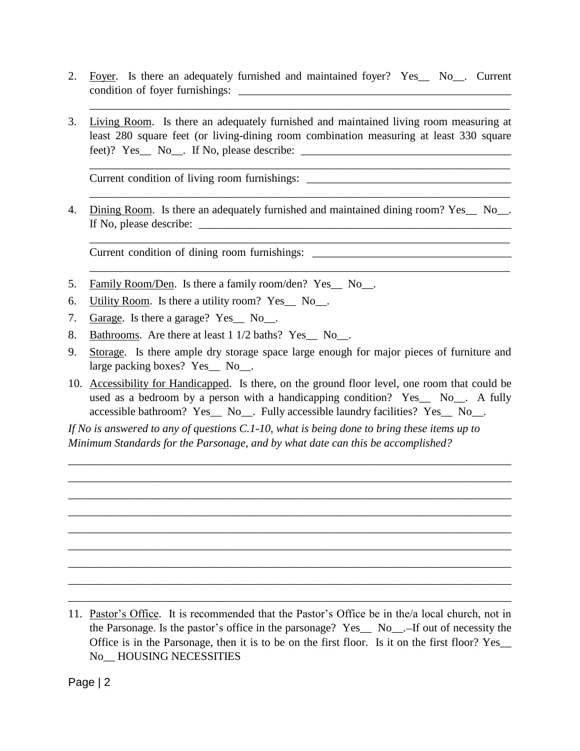2. Foyer. Is there an adequately furnished and maintained foyer? Yes\_\_ No\_\_. Current condition of foyer furnishings: \_\_\_\_\_\_\_\_\_\_\_\_\_\_\_\_\_\_\_\_\_\_\_\_\_\_\_\_\_\_\_\_\_\_\_\_\_\_\_\_\_\_\_\_\_\_\_\_

\_\_\_\_\_\_\_\_\_\_\_\_\_\_\_\_\_\_\_\_\_\_\_\_\_\_\_\_\_\_\_\_\_\_\_\_\_\_\_\_\_\_\_\_\_\_\_\_\_\_\_\_\_\_\_\_\_\_\_\_\_\_\_\_\_\_\_\_\_\_\_\_\_\_

3. Living Room. Is there an adequately furnished and maintained living room measuring at least 280 square feet (or living-dining room combination measuring at least 330 square feet)? Yes\_\_ No\_\_. If No, please describe: \_\_\_\_\_\_\_\_\_\_\_\_\_\_\_\_\_\_\_\_\_\_\_\_\_\_\_\_\_\_\_\_\_\_\_\_\_

Current condition of living room furnishings:

4. Dining Room. Is there an adequately furnished and maintained dining room? Yes No. If No, please describe: \_\_\_\_\_\_\_\_\_\_\_\_\_\_\_\_\_\_\_\_\_\_\_\_\_\_\_\_\_\_\_\_\_\_\_\_\_\_\_\_\_\_\_\_\_\_\_\_\_\_\_\_\_\_\_

\_\_\_\_\_\_\_\_\_\_\_\_\_\_\_\_\_\_\_\_\_\_\_\_\_\_\_\_\_\_\_\_\_\_\_\_\_\_\_\_\_\_\_\_\_\_\_\_\_\_\_\_\_\_\_\_\_\_\_\_\_\_\_\_\_\_\_\_\_\_\_\_\_\_

\_\_\_\_\_\_\_\_\_\_\_\_\_\_\_\_\_\_\_\_\_\_\_\_\_\_\_\_\_\_\_\_\_\_\_\_\_\_\_\_\_\_\_\_\_\_\_\_\_\_\_\_\_\_\_\_\_\_\_\_\_\_\_\_\_\_\_\_\_\_\_\_\_\_

\_\_\_\_\_\_\_\_\_\_\_\_\_\_\_\_\_\_\_\_\_\_\_\_\_\_\_\_\_\_\_\_\_\_\_\_\_\_\_\_\_\_\_\_\_\_\_\_\_\_\_\_\_\_\_\_\_\_\_\_\_\_\_\_\_\_\_\_\_\_\_\_\_\_

Current condition of dining room furnishings: \_\_\_\_\_\_\_\_\_\_\_\_\_\_\_\_\_\_\_\_\_\_\_\_\_\_\_\_\_\_\_\_\_\_

- 5. Family Room/Den. Is there a family room/den? Yes\_\_ No\_\_.
- 6. Utility Room. Is there a utility room? Yes\_\_ No\_\_.
- 7. Garage. Is there a garage? Yes\_\_ No\_\_.
- 8. Bathrooms. Are there at least 1 1/2 baths? Yes No.
- 9. Storage. Is there ample dry storage space large enough for major pieces of furniture and large packing boxes? Yes No.
- 10. Accessibility for Handicapped. Is there, on the ground floor level, one room that could be used as a bedroom by a person with a handicapping condition? Yes  $\overline{\phantom{a}}$  No. A fully accessible bathroom? Yes\_\_ No\_\_. Fully accessible laundry facilities? Yes\_\_ No\_\_.

\_\_\_\_\_\_\_\_\_\_\_\_\_\_\_\_\_\_\_\_\_\_\_\_\_\_\_\_\_\_\_\_\_\_\_\_\_\_\_\_\_\_\_\_\_\_\_\_\_\_\_\_\_\_\_\_\_\_\_\_\_\_\_\_\_\_\_\_\_\_\_\_\_\_\_\_\_\_ \_\_\_\_\_\_\_\_\_\_\_\_\_\_\_\_\_\_\_\_\_\_\_\_\_\_\_\_\_\_\_\_\_\_\_\_\_\_\_\_\_\_\_\_\_\_\_\_\_\_\_\_\_\_\_\_\_\_\_\_\_\_\_\_\_\_\_\_\_\_\_\_\_\_\_\_\_\_ \_\_\_\_\_\_\_\_\_\_\_\_\_\_\_\_\_\_\_\_\_\_\_\_\_\_\_\_\_\_\_\_\_\_\_\_\_\_\_\_\_\_\_\_\_\_\_\_\_\_\_\_\_\_\_\_\_\_\_\_\_\_\_\_\_\_\_\_\_\_\_\_\_\_\_\_\_\_ \_\_\_\_\_\_\_\_\_\_\_\_\_\_\_\_\_\_\_\_\_\_\_\_\_\_\_\_\_\_\_\_\_\_\_\_\_\_\_\_\_\_\_\_\_\_\_\_\_\_\_\_\_\_\_\_\_\_\_\_\_\_\_\_\_\_\_\_\_\_\_\_\_\_\_\_\_\_ \_\_\_\_\_\_\_\_\_\_\_\_\_\_\_\_\_\_\_\_\_\_\_\_\_\_\_\_\_\_\_\_\_\_\_\_\_\_\_\_\_\_\_\_\_\_\_\_\_\_\_\_\_\_\_\_\_\_\_\_\_\_\_\_\_\_\_\_\_\_\_\_\_\_\_\_\_\_ \_\_\_\_\_\_\_\_\_\_\_\_\_\_\_\_\_\_\_\_\_\_\_\_\_\_\_\_\_\_\_\_\_\_\_\_\_\_\_\_\_\_\_\_\_\_\_\_\_\_\_\_\_\_\_\_\_\_\_\_\_\_\_\_\_\_\_\_\_\_\_\_\_\_\_\_\_\_ \_\_\_\_\_\_\_\_\_\_\_\_\_\_\_\_\_\_\_\_\_\_\_\_\_\_\_\_\_\_\_\_\_\_\_\_\_\_\_\_\_\_\_\_\_\_\_\_\_\_\_\_\_\_\_\_\_\_\_\_\_\_\_\_\_\_\_\_\_\_\_\_\_\_\_\_\_\_ \_\_\_\_\_\_\_\_\_\_\_\_\_\_\_\_\_\_\_\_\_\_\_\_\_\_\_\_\_\_\_\_\_\_\_\_\_\_\_\_\_\_\_\_\_\_\_\_\_\_\_\_\_\_\_\_\_\_\_\_\_\_\_\_\_\_\_\_\_\_\_\_\_\_\_\_\_\_ \_\_\_\_\_\_\_\_\_\_\_\_\_\_\_\_\_\_\_\_\_\_\_\_\_\_\_\_\_\_\_\_\_\_\_\_\_\_\_\_\_\_\_\_\_\_\_\_\_\_\_\_\_\_\_\_\_\_\_\_\_\_\_\_\_\_\_\_\_\_\_\_\_\_\_\_\_\_

*If No is answered to any of questions C.1-10, what is being done to bring these items up to Minimum Standards for the Parsonage, and by what date can this be accomplished?*

<sup>11.</sup> Pastor's Office. It is recommended that the Pastor's Office be in the/a local church, not in the Parsonage. Is the pastor's office in the parsonage? Yes\_\_ No\_\_.—If out of necessity the Office is in the Parsonage, then it is to be on the first floor. Is it on the first floor? Yes\_\_ No\_\_ HOUSING NECESSITIES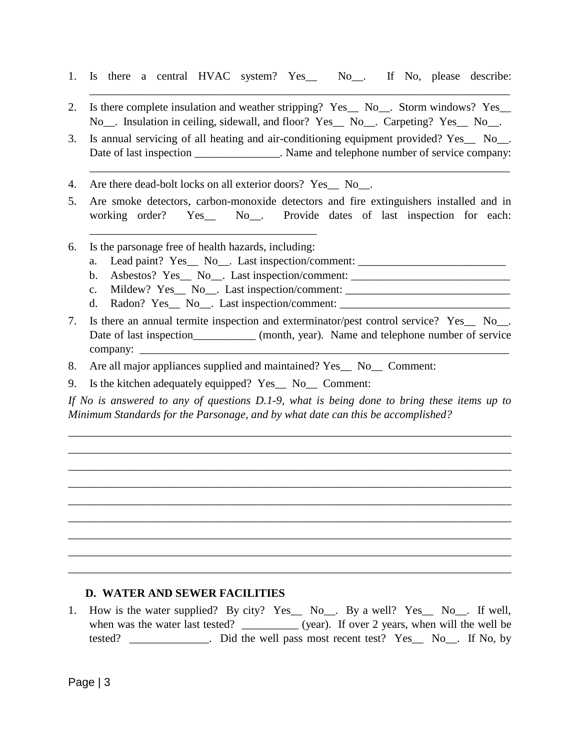1. Is there a central HVAC system? Yes\_\_ No\_\_. If No, please describe:

\_\_\_\_\_\_\_\_\_\_\_\_\_\_\_\_\_\_\_\_\_\_\_\_\_\_\_\_\_\_\_\_\_\_\_\_\_\_\_\_\_\_\_\_\_\_\_\_\_\_\_\_\_\_\_\_\_\_\_\_\_\_\_\_\_\_\_\_\_\_\_\_\_\_

- 2. Is there complete insulation and weather stripping? Yes\_\_ No\_\_. Storm windows? Yes\_ No<sub>\_\_\_</sub>. Insulation in ceiling, sidewall, and floor? Yes\_\_ No\_\_. Carpeting? Yes\_\_ No\_\_.
- 3. Is annual servicing of all heating and air-conditioning equipment provided? Yes\_\_ No\_\_. Date of last inspection \_\_\_\_\_\_\_\_\_\_\_\_\_\_. Name and telephone number of service company:

\_\_\_\_\_\_\_\_\_\_\_\_\_\_\_\_\_\_\_\_\_\_\_\_\_\_\_\_\_\_\_\_\_\_\_\_\_\_\_\_\_\_\_\_\_\_\_\_\_\_\_\_\_\_\_\_\_\_\_\_\_\_\_\_\_\_\_\_\_\_\_\_\_\_

- 4. Are there dead-bolt locks on all exterior doors? Yes No.
- 5. Are smoke detectors, carbon-monoxide detectors and fire extinguishers installed and in working order? Yes No. Provide dates of last inspection for each:
- 6. Is the parsonage free of health hazards, including:

\_\_\_\_\_\_\_\_\_\_\_\_\_\_\_\_\_\_\_\_\_\_\_\_\_\_\_\_\_\_\_\_\_\_\_\_\_\_\_\_

- a. Lead paint? Yes\_ No\_. Last inspection/comment: \_\_\_\_\_\_\_\_\_\_\_\_\_\_\_\_\_\_\_\_\_\_\_\_\_\_\_\_\_\_
- b. Asbestos? Yes\_ No\_. Last inspection/comment: \_\_\_\_\_\_\_\_\_\_\_\_\_\_\_\_\_\_\_\_\_\_\_\_\_\_\_\_\_\_\_\_
- c. Mildew? Yes\_ No\_. Last inspection/comment: \_\_\_\_\_\_\_\_\_\_\_\_\_\_\_\_\_\_\_\_\_\_\_\_\_\_\_\_\_\_\_\_\_\_
- d. Radon? Yes\_ No\_. Last inspection/comment: \_\_\_\_\_\_\_\_\_\_\_\_\_\_\_\_\_\_\_\_\_\_\_\_\_\_\_\_\_\_\_\_\_\_\_
- 7. Is there an annual termite inspection and exterminator/pest control service? Yes\_\_ No\_\_. Date of last inspection\_\_\_\_\_\_\_\_\_\_\_\_ (month, year). Name and telephone number of service  $complex:$   $\Box$
- 8. Are all major appliances supplied and maintained? Yes\_\_ No\_\_ Comment:
- 9. Is the kitchen adequately equipped? Yes\_\_ No\_\_ Comment:

*If No is answered to any of questions D.1-9, what is being done to bring these items up to Minimum Standards for the Parsonage, and by what date can this be accomplished?*

\_\_\_\_\_\_\_\_\_\_\_\_\_\_\_\_\_\_\_\_\_\_\_\_\_\_\_\_\_\_\_\_\_\_\_\_\_\_\_\_\_\_\_\_\_\_\_\_\_\_\_\_\_\_\_\_\_\_\_\_\_\_\_\_\_\_\_\_\_\_\_\_\_\_\_\_\_\_ \_\_\_\_\_\_\_\_\_\_\_\_\_\_\_\_\_\_\_\_\_\_\_\_\_\_\_\_\_\_\_\_\_\_\_\_\_\_\_\_\_\_\_\_\_\_\_\_\_\_\_\_\_\_\_\_\_\_\_\_\_\_\_\_\_\_\_\_\_\_\_\_\_\_\_\_\_\_ \_\_\_\_\_\_\_\_\_\_\_\_\_\_\_\_\_\_\_\_\_\_\_\_\_\_\_\_\_\_\_\_\_\_\_\_\_\_\_\_\_\_\_\_\_\_\_\_\_\_\_\_\_\_\_\_\_\_\_\_\_\_\_\_\_\_\_\_\_\_\_\_\_\_\_\_\_\_ \_\_\_\_\_\_\_\_\_\_\_\_\_\_\_\_\_\_\_\_\_\_\_\_\_\_\_\_\_\_\_\_\_\_\_\_\_\_\_\_\_\_\_\_\_\_\_\_\_\_\_\_\_\_\_\_\_\_\_\_\_\_\_\_\_\_\_\_\_\_\_\_\_\_\_\_\_\_ \_\_\_\_\_\_\_\_\_\_\_\_\_\_\_\_\_\_\_\_\_\_\_\_\_\_\_\_\_\_\_\_\_\_\_\_\_\_\_\_\_\_\_\_\_\_\_\_\_\_\_\_\_\_\_\_\_\_\_\_\_\_\_\_\_\_\_\_\_\_\_\_\_\_\_\_\_\_ \_\_\_\_\_\_\_\_\_\_\_\_\_\_\_\_\_\_\_\_\_\_\_\_\_\_\_\_\_\_\_\_\_\_\_\_\_\_\_\_\_\_\_\_\_\_\_\_\_\_\_\_\_\_\_\_\_\_\_\_\_\_\_\_\_\_\_\_\_\_\_\_\_\_\_\_\_\_ \_\_\_\_\_\_\_\_\_\_\_\_\_\_\_\_\_\_\_\_\_\_\_\_\_\_\_\_\_\_\_\_\_\_\_\_\_\_\_\_\_\_\_\_\_\_\_\_\_\_\_\_\_\_\_\_\_\_\_\_\_\_\_\_\_\_\_\_\_\_\_\_\_\_\_\_\_\_ \_\_\_\_\_\_\_\_\_\_\_\_\_\_\_\_\_\_\_\_\_\_\_\_\_\_\_\_\_\_\_\_\_\_\_\_\_\_\_\_\_\_\_\_\_\_\_\_\_\_\_\_\_\_\_\_\_\_\_\_\_\_\_\_\_\_\_\_\_\_\_\_\_\_\_\_\_\_ \_\_\_\_\_\_\_\_\_\_\_\_\_\_\_\_\_\_\_\_\_\_\_\_\_\_\_\_\_\_\_\_\_\_\_\_\_\_\_\_\_\_\_\_\_\_\_\_\_\_\_\_\_\_\_\_\_\_\_\_\_\_\_\_\_\_\_\_\_\_\_\_\_\_\_\_\_\_

#### **D. WATER AND SEWER FACILITIES**

1. How is the water supplied? By city? Yes\_\_ No\_\_. By a well? Yes\_\_ No\_\_. If well, when was the water last tested? \_\_\_\_\_\_\_\_\_\_\_ (year). If over 2 years, when will the well be tested? \_\_\_\_\_\_\_\_\_\_\_\_\_\_. Did the well pass most recent test? Yes\_\_ No\_\_. If No, by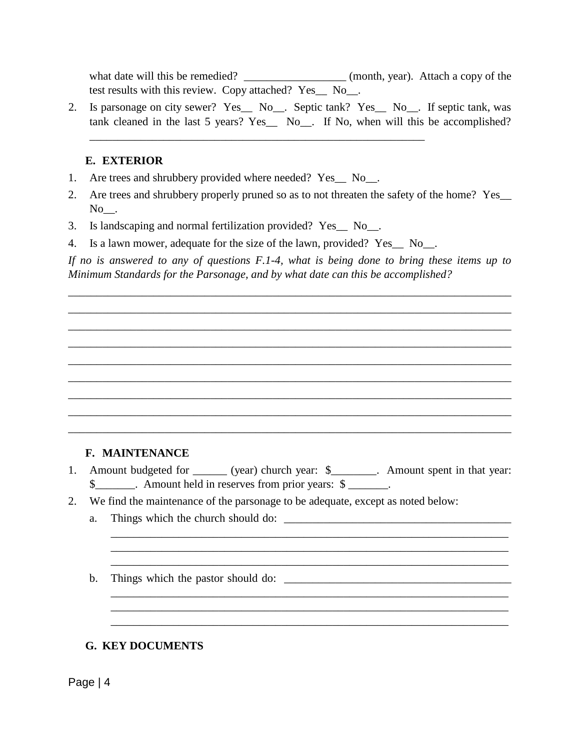what date will this be remedied? \_\_\_\_\_\_\_\_\_\_\_\_\_\_\_\_\_\_\_\_\_\_ (month, year). Attach a copy of the test results with this review. Copy attached? Yes\_\_ No\_\_.

2. Is parsonage on city sewer? Yes\_\_ No\_\_. Septic tank? Yes\_\_ No\_\_. If septic tank, was tank cleaned in the last 5 years? Yes\_\_ No\_\_. If No, when will this be accomplished?

### **E. EXTERIOR**

- 1. Are trees and shrubbery provided where needed? Yes\_\_ No\_\_.
- 2. Are trees and shrubbery properly pruned so as to not threaten the safety of the home? Yes\_\_ No.
- 3. Is landscaping and normal fertilization provided? Yes\_\_ No\_\_.
- 4. Is a lawn mower, adequate for the size of the lawn, provided? Yes\_\_ No\_\_.

\_\_\_\_\_\_\_\_\_\_\_\_\_\_\_\_\_\_\_\_\_\_\_\_\_\_\_\_\_\_\_\_\_\_\_\_\_\_\_\_\_\_\_\_\_\_\_\_\_\_\_\_\_\_\_\_\_\_\_

*If no is answered to any of questions F.1-4, what is being done to bring these items up to Minimum Standards for the Parsonage, and by what date can this be accomplished?*

\_\_\_\_\_\_\_\_\_\_\_\_\_\_\_\_\_\_\_\_\_\_\_\_\_\_\_\_\_\_\_\_\_\_\_\_\_\_\_\_\_\_\_\_\_\_\_\_\_\_\_\_\_\_\_\_\_\_\_\_\_\_\_\_\_\_\_\_\_\_\_\_\_\_\_\_\_\_ \_\_\_\_\_\_\_\_\_\_\_\_\_\_\_\_\_\_\_\_\_\_\_\_\_\_\_\_\_\_\_\_\_\_\_\_\_\_\_\_\_\_\_\_\_\_\_\_\_\_\_\_\_\_\_\_\_\_\_\_\_\_\_\_\_\_\_\_\_\_\_\_\_\_\_\_\_\_ \_\_\_\_\_\_\_\_\_\_\_\_\_\_\_\_\_\_\_\_\_\_\_\_\_\_\_\_\_\_\_\_\_\_\_\_\_\_\_\_\_\_\_\_\_\_\_\_\_\_\_\_\_\_\_\_\_\_\_\_\_\_\_\_\_\_\_\_\_\_\_\_\_\_\_\_\_\_ \_\_\_\_\_\_\_\_\_\_\_\_\_\_\_\_\_\_\_\_\_\_\_\_\_\_\_\_\_\_\_\_\_\_\_\_\_\_\_\_\_\_\_\_\_\_\_\_\_\_\_\_\_\_\_\_\_\_\_\_\_\_\_\_\_\_\_\_\_\_\_\_\_\_\_\_\_\_ \_\_\_\_\_\_\_\_\_\_\_\_\_\_\_\_\_\_\_\_\_\_\_\_\_\_\_\_\_\_\_\_\_\_\_\_\_\_\_\_\_\_\_\_\_\_\_\_\_\_\_\_\_\_\_\_\_\_\_\_\_\_\_\_\_\_\_\_\_\_\_\_\_\_\_\_\_\_ \_\_\_\_\_\_\_\_\_\_\_\_\_\_\_\_\_\_\_\_\_\_\_\_\_\_\_\_\_\_\_\_\_\_\_\_\_\_\_\_\_\_\_\_\_\_\_\_\_\_\_\_\_\_\_\_\_\_\_\_\_\_\_\_\_\_\_\_\_\_\_\_\_\_\_\_\_\_ \_\_\_\_\_\_\_\_\_\_\_\_\_\_\_\_\_\_\_\_\_\_\_\_\_\_\_\_\_\_\_\_\_\_\_\_\_\_\_\_\_\_\_\_\_\_\_\_\_\_\_\_\_\_\_\_\_\_\_\_\_\_\_\_\_\_\_\_\_\_\_\_\_\_\_\_\_\_ \_\_\_\_\_\_\_\_\_\_\_\_\_\_\_\_\_\_\_\_\_\_\_\_\_\_\_\_\_\_\_\_\_\_\_\_\_\_\_\_\_\_\_\_\_\_\_\_\_\_\_\_\_\_\_\_\_\_\_\_\_\_\_\_\_\_\_\_\_\_\_\_\_\_\_\_\_\_ \_\_\_\_\_\_\_\_\_\_\_\_\_\_\_\_\_\_\_\_\_\_\_\_\_\_\_\_\_\_\_\_\_\_\_\_\_\_\_\_\_\_\_\_\_\_\_\_\_\_\_\_\_\_\_\_\_\_\_\_\_\_\_\_\_\_\_\_\_\_\_\_\_\_\_\_\_\_

## **F. MAINTENANCE**

1. Amount budgeted for \_\_\_\_\_\_ (year) church year: \$\_\_\_\_\_\_\_\_. Amount spent in that year: \$\_\_\_\_\_\_\_. Amount held in reserves from prior years: \$ \_\_\_\_\_\_\_.

\_\_\_\_\_\_\_\_\_\_\_\_\_\_\_\_\_\_\_\_\_\_\_\_\_\_\_\_\_\_\_\_\_\_\_\_\_\_\_\_\_\_\_\_\_\_\_\_\_\_\_\_\_\_\_\_\_\_\_\_\_\_\_\_\_\_\_\_\_\_ \_\_\_\_\_\_\_\_\_\_\_\_\_\_\_\_\_\_\_\_\_\_\_\_\_\_\_\_\_\_\_\_\_\_\_\_\_\_\_\_\_\_\_\_\_\_\_\_\_\_\_\_\_\_\_\_\_\_\_\_\_\_\_\_\_\_\_\_\_\_ \_\_\_\_\_\_\_\_\_\_\_\_\_\_\_\_\_\_\_\_\_\_\_\_\_\_\_\_\_\_\_\_\_\_\_\_\_\_\_\_\_\_\_\_\_\_\_\_\_\_\_\_\_\_\_\_\_\_\_\_\_\_\_\_\_\_\_\_\_\_

\_\_\_\_\_\_\_\_\_\_\_\_\_\_\_\_\_\_\_\_\_\_\_\_\_\_\_\_\_\_\_\_\_\_\_\_\_\_\_\_\_\_\_\_\_\_\_\_\_\_\_\_\_\_\_\_\_\_\_\_\_\_\_\_\_\_\_\_\_\_ \_\_\_\_\_\_\_\_\_\_\_\_\_\_\_\_\_\_\_\_\_\_\_\_\_\_\_\_\_\_\_\_\_\_\_\_\_\_\_\_\_\_\_\_\_\_\_\_\_\_\_\_\_\_\_\_\_\_\_\_\_\_\_\_\_\_\_\_\_\_ \_\_\_\_\_\_\_\_\_\_\_\_\_\_\_\_\_\_\_\_\_\_\_\_\_\_\_\_\_\_\_\_\_\_\_\_\_\_\_\_\_\_\_\_\_\_\_\_\_\_\_\_\_\_\_\_\_\_\_\_\_\_\_\_\_\_\_\_\_\_

- 2. We find the maintenance of the parsonage to be adequate, except as noted below:
	- a. Things which the church should do: \_\_\_\_\_\_\_\_\_\_\_\_\_\_\_\_\_\_\_\_\_\_\_\_\_\_\_\_\_\_\_\_\_\_\_\_\_\_\_\_
	- b. Things which the pastor should do: \_\_\_\_\_\_\_\_\_\_\_\_\_\_\_\_\_\_\_\_\_\_\_\_\_\_\_\_\_\_\_\_\_\_\_\_\_\_\_\_

#### **G. KEY DOCUMENTS**

Page | 4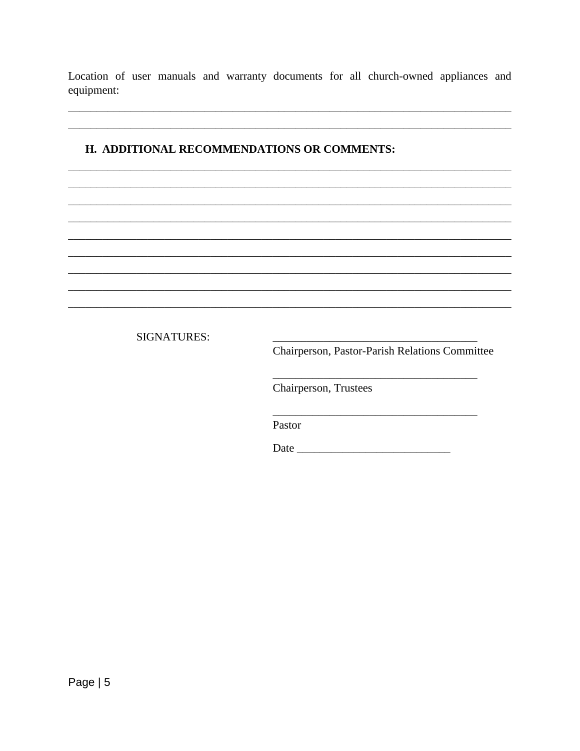Location of user manuals and warranty documents for all church-owned appliances and equipment:

## H. ADDITIONAL RECOMMENDATIONS OR COMMENTS:

**SIGNATURES:** 

Chairperson, Pastor-Parish Relations Committee

Chairperson, Trustees

Pastor